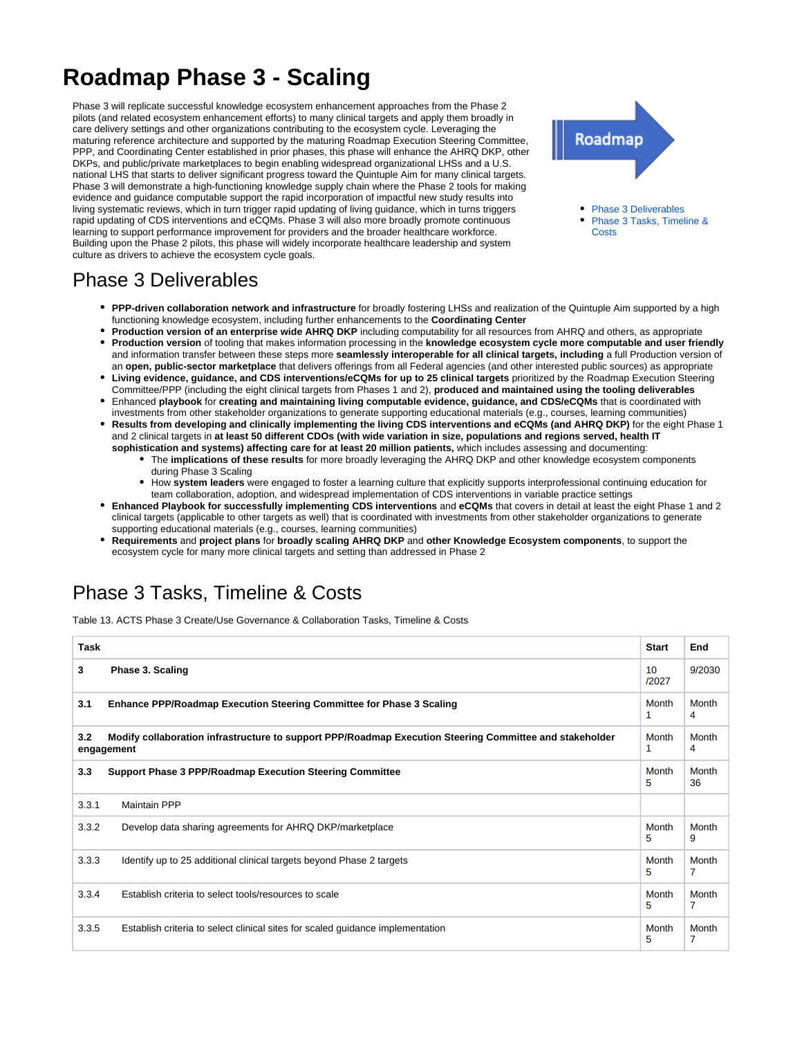## **Roadmap Phase 3 - Scaling**

Phase 3 will replicate successful knowledge ecosystem enhancement approaches from the Phase 2 pilots (and related ecosystem enhancement efforts) to many clinical targets and apply them broadly in care delivery settings and other organizations contributing to the ecosystem cycle. Leveraging the maturing reference architecture and supported by the maturing Roadmap Execution Steering Committee, PPP, and Coordinating Center established in prior phases, this phase will enhance the AHRQ DKP, other DKPs, and public/private marketplaces to begin enabling widespread organizational LHSs and a U.S. national LHS that starts to deliver significant progress toward the Quintuple Aim for many clinical targets. Phase 3 will demonstrate a high-functioning knowledge supply chain where the Phase 2 tools for making evidence and guidance computable support the rapid incorporation of impactful new study results into living systematic reviews, which in turn trigger rapid updating of living guidance, which in turns triggers rapid updating of CDS interventions and eCQMs. Phase 3 will also more broadly promote continuous learning to support performance improvement for providers and the broader healthcare workforce. Building upon the Phase 2 pilots, this phase will widely incorporate healthcare leadership and system culture as drivers to achieve the ecosystem cycle goals.



[Phase 3 Deliverables](#page-0-0) [Phase 3 Tasks, Timeline &](#page-0-1)  **[Costs](#page-0-1)** 

## <span id="page-0-0"></span>Phase 3 Deliverables

- **PPP-driven collaboration network and infrastructure** for broadly fostering LHSs and realization of the Quintuple Aim supported by a high functioning knowledge ecosystem, including further enhancements to the **Coordinating Center**
- **Production version of an enterprise wide AHRQ DKP** including computability for all resources from AHRQ and others, as appropriate **Production version** of tooling that makes information processing in the **knowledge ecosystem cycle more computable and user friendly** and information transfer between these steps more **seamlessly interoperable for all clinical targets, including** a full Production version of an **open, public-sector marketplace** that delivers offerings from all Federal agencies (and other interested public sources) as appropriate
- **Living evidence, guidance, and CDS interventions/eCQMs for up to 25 clinical targets** prioritized by the Roadmap Execution Steering Committee/PPP (including the eight clinical targets from Phases 1 and 2), **produced and maintained using the tooling deliverables**
- Enhanced **playbook** for **creating and maintaining living computable evidence, guidance, and CDS/eCQMs** that is coordinated with investments from other stakeholder organizations to generate supporting educational materials (e.g., courses, learning communities)
- **Results from developing and clinically implementing the living CDS interventions and eCQMs (and AHRQ DKP)** for the eight Phase 1 and 2 clinical targets in **at least 50 different CDOs (with wide variation in size, populations and regions served, health IT sophistication and systems) affecting care for at least 20 million patients,** which includes assessing and documenting:
	- The **implications of these results** for more broadly leveraging the AHRQ DKP and other knowledge ecosystem components during Phase 3 Scaling
	- How **system leaders** were engaged to foster a learning culture that explicitly supports interprofessional continuing education for team collaboration, adoption, and widespread implementation of CDS interventions in variable practice settings
- **Enhanced Playbook for successfully implementing CDS interventions** and **eCQMs** that covers in detail at least the eight Phase 1 and 2 clinical targets (applicable to other targets as well) that is coordinated with investments from other stakeholder organizations to generate supporting educational materials (e.g., courses, learning communities)
- **Requirements** and **project plans** for **broadly scaling AHRQ DKP** and **other Knowledge Ecosystem components**, to support the ecosystem cycle for many more clinical targets and setting than addressed in Phase 2

## <span id="page-0-1"></span>Phase 3 Tasks, Timeline & Costs

Table 13. ACTS Phase 3 Create/Use Governance & Collaboration Tasks, Timeline & Costs

| Task  |                                                                                                                       | <b>Start</b> | End                     |
|-------|-----------------------------------------------------------------------------------------------------------------------|--------------|-------------------------|
| 3     | Phase 3. Scaling                                                                                                      | 10<br>/2027  | 9/2030                  |
| 3.1   | <b>Enhance PPP/Roadmap Execution Steering Committee for Phase 3 Scaling</b>                                           | Month<br>1   | Month<br>4              |
| 3.2   | Modify collaboration infrastructure to support PPP/Roadmap Execution Steering Committee and stakeholder<br>engagement |              | Month<br>4              |
| 3.3   | <b>Support Phase 3 PPP/Roadmap Execution Steering Committee</b>                                                       | Month<br>5   | Month<br>36             |
| 3.3.1 | <b>Maintain PPP</b>                                                                                                   |              |                         |
| 3.3.2 | Develop data sharing agreements for AHRQ DKP/marketplace                                                              | Month<br>5   | Month<br>9              |
| 3.3.3 | Identify up to 25 additional clinical targets beyond Phase 2 targets                                                  | Month<br>5   | Month<br>$\overline{7}$ |
| 3.3.4 | Establish criteria to select tools/resources to scale                                                                 | Month<br>5   | Month<br>7              |
| 3.3.5 | Establish criteria to select clinical sites for scaled guidance implementation                                        | Month<br>5   | Month<br>7              |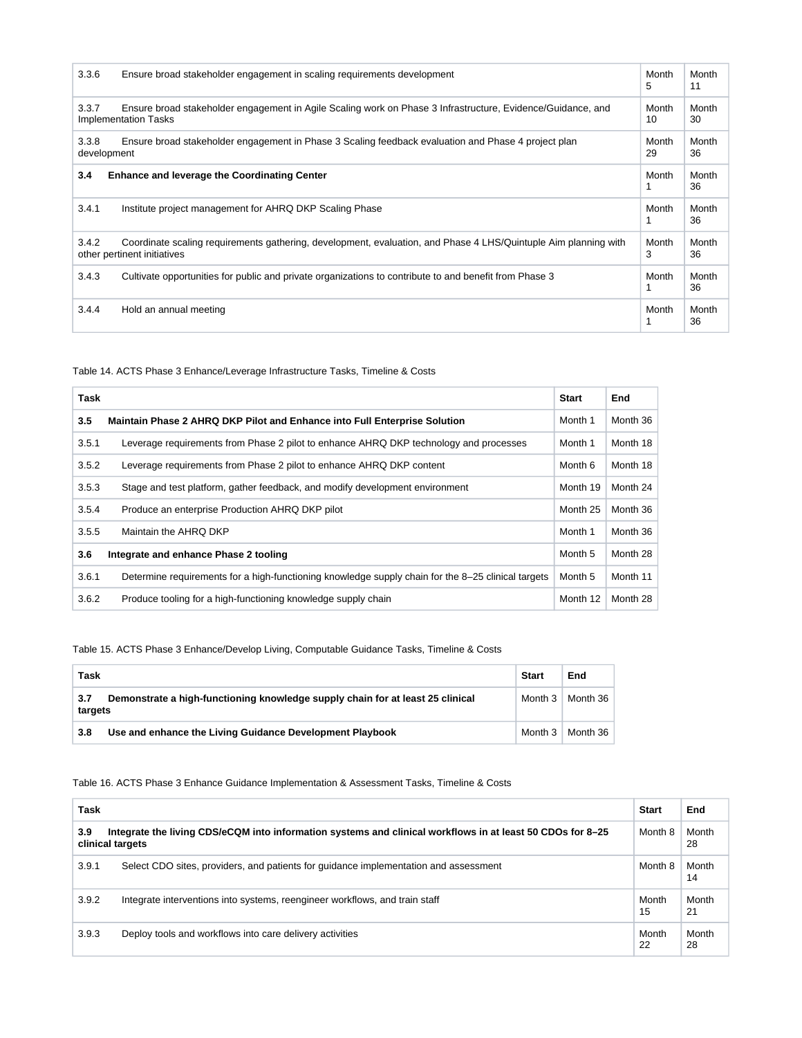| 3.3.6                | Ensure broad stakeholder engagement in scaling requirements development                                                                        | Month<br>5  | Month<br>11 |
|----------------------|------------------------------------------------------------------------------------------------------------------------------------------------|-------------|-------------|
| 3.3.7                | Ensure broad stakeholder engagement in Agile Scaling work on Phase 3 Infrastructure, Evidence/Guidance, and<br><b>Implementation Tasks</b>     | Month<br>10 | Month<br>30 |
| 3.3.8<br>development | Ensure broad stakeholder engagement in Phase 3 Scaling feedback evaluation and Phase 4 project plan                                            | Month<br>29 | Month<br>36 |
| 3.4                  | <b>Enhance and leverage the Coordinating Center</b>                                                                                            | Month       | Month<br>36 |
| 3.4.1                | Institute project management for AHRQ DKP Scaling Phase                                                                                        | Month       | Month<br>36 |
| 3.4.2                | Coordinate scaling requirements gathering, development, evaluation, and Phase 4 LHS/Quintuple Aim planning with<br>other pertinent initiatives | Month<br>3  | Month<br>36 |
| 3.4.3                | Cultivate opportunities for public and private organizations to contribute to and benefit from Phase 3                                         | Month       | Month<br>36 |
| 3.4.4                | Hold an annual meeting                                                                                                                         | Month       | Month<br>36 |

Table 14. ACTS Phase 3 Enhance/Leverage Infrastructure Tasks, Timeline & Costs

| <b>Task</b> |                                                                                                    | Start    | End      |
|-------------|----------------------------------------------------------------------------------------------------|----------|----------|
| 3.5         | Maintain Phase 2 AHRQ DKP Pilot and Enhance into Full Enterprise Solution                          | Month 1  | Month 36 |
| 3.5.1       | Leverage requirements from Phase 2 pilot to enhance AHRQ DKP technology and processes              | Month 1  | Month 18 |
| 3.5.2       | Leverage requirements from Phase 2 pilot to enhance AHRQ DKP content                               | Month 6  | Month 18 |
| 3.5.3       | Stage and test platform, gather feedback, and modify development environment                       | Month 19 | Month 24 |
| 3.5.4       | Produce an enterprise Production AHRQ DKP pilot                                                    | Month 25 | Month 36 |
| 3.5.5       | Maintain the AHRQ DKP                                                                              | Month 1  | Month 36 |
| 3.6         | Integrate and enhance Phase 2 tooling                                                              | Month 5  | Month 28 |
| 3.6.1       | Determine requirements for a high-functioning knowledge supply chain for the 8-25 clinical targets | Month 5  | Month 11 |
| 3.6.2       | Produce tooling for a high-functioning knowledge supply chain                                      | Month 12 | Month 28 |

Table 15. ACTS Phase 3 Enhance/Develop Living, Computable Guidance Tasks, Timeline & Costs

| Task           |                                                                                | <b>Start</b> | End      |
|----------------|--------------------------------------------------------------------------------|--------------|----------|
| 3.7<br>targets | Demonstrate a high-functioning knowledge supply chain for at least 25 clinical | Month 3      | Month 36 |
| 3.8            | Use and enhance the Living Guidance Development Playbook                       | Month 3      | Month 36 |

## Table 16. ACTS Phase 3 Enhance Guidance Implementation & Assessment Tasks, Timeline & Costs

| Task  |                                                                                                                                | <b>Start</b> | End         |
|-------|--------------------------------------------------------------------------------------------------------------------------------|--------------|-------------|
| 3.9   | Integrate the living CDS/eCQM into information systems and clinical workflows in at least 50 CDOs for 8-25<br>clinical targets | Month 8      | Month<br>28 |
| 3.9.1 | Select CDO sites, providers, and patients for quidance implementation and assessment                                           | Month 8      | Month<br>14 |
| 3.9.2 | Integrate interventions into systems, reengineer workflows, and train staff                                                    | Month<br>15  | Month<br>21 |
| 3.9.3 | Deploy tools and workflows into care delivery activities                                                                       | Month<br>22  | Month<br>28 |